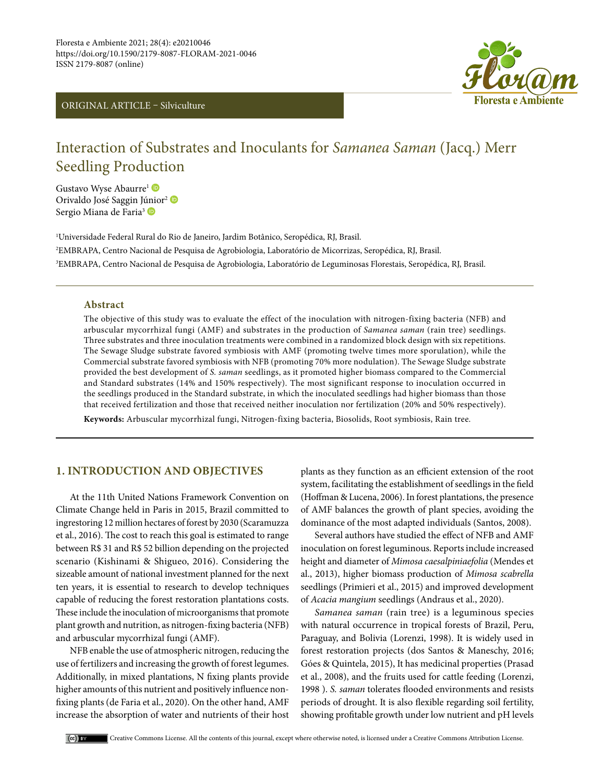



# Interaction of Substrates and Inoculants for *Samanea Saman* (Jacq.) Merr Seedling Production

Gustavo Wyse Abaurre<sup>1</sup> Orivaldo José Saggin J[únio](https://orcid.org/0000-0001-5066-046X)r<sup>2</sup> D Sergio Miana de Faria<sup>3</sup>

1 Universidade Federal Rural do Rio de Janeiro, Jardim Botânico, Seropédica, RJ, Brasil. 2 EMBRAPA, Centro Nacional de Pesquisa de Agrobiologia, Laboratório de Micorrizas, Seropédica, RJ, Brasil. 3 EMBRAPA, Centro Nacional de Pesquisa de Agrobiologia, Laboratório de Leguminosas Florestais, Seropédica, RJ, Brasil.

### **Abstract**

The objective of this study was to evaluate the effect of the inoculation with nitrogen-fixing bacteria (NFB) and arbuscular mycorrhizal fungi (AMF) and substrates in the production of *Samanea saman* (rain tree) seedlings. Three substrates and three inoculation treatments were combined in a randomized block design with six repetitions. The Sewage Sludge substrate favored symbiosis with AMF (promoting twelve times more sporulation), while the Commercial substrate favored symbiosis with NFB (promoting 70% more nodulation). The Sewage Sludge substrate provided the best development of *S. saman* seedlings, as it promoted higher biomass compared to the Commercial and Standard substrates (14% and 150% respectively). The most significant response to inoculation occurred in the seedlings produced in the Standard substrate, in which the inoculated seedlings had higher biomass than those that received fertilization and those that received neither inoculation nor fertilization (20% and 50% respectively).

**Keywords:** Arbuscular mycorrhizal fungi, Nitrogen-fixing bacteria, Biosolids, Root symbiosis, Rain tree.

# **1. INTRODUCTION AND OBJECTIVES**

At the 11th United Nations Framework Convention on Climate Change held in Paris in 2015, Brazil committed to ingrestoring 12 million hectares of forest by 2030 (Scaramuzza et al., 2016). The cost to reach this goal is estimated to range between R\$ 31 and R\$ 52 billion depending on the projected scenario (Kishinami & Shigueo, 2016). Considering the sizeable amount of national investment planned for the next ten years, it is essential to research to develop techniques capable of reducing the forest restoration plantations costs. These include the inoculation of microorganisms that promote plant growth and nutrition, as nitrogen-fixing bacteria (NFB) and arbuscular mycorrhizal fungi (AMF).

NFB enable the use of atmospheric nitrogen, reducing the use of fertilizers and increasing the growth of forest legumes. Additionally, in mixed plantations, N fixing plants provide higher amounts of this nutrient and positively influence nonfixing plants (de Faria et al., 2020). On the other hand, AMF increase the absorption of water and nutrients of their host

plants as they function as an efficient extension of the root system, facilitating the establishment of seedlings in the field (Hoffman & Lucena, 2006). In forest plantations, the presence of AMF balances the growth of plant species, avoiding the dominance of the most adapted individuals (Santos, 2008).

Several authors have studied the effect of NFB and AMF inoculation on forest leguminous. Reports include increased height and diameter of *Mimosa caesalpiniaefolia* (Mendes et al., 2013), higher biomass production of *Mimosa scabrella* seedlings (Primieri et al., 2015) and improved development of *Acacia mangium* seedlings (Andraus et al., 2020).

*Samanea saman* (rain tree) is a leguminous species with natural occurrence in tropical forests of Brazil, Peru, Paraguay, and Bolivia (Lorenzi, 1998). It is widely used in forest restoration projects (dos Santos & Maneschy, 2016; Góes & Quintela, 2015), It has medicinal properties (Prasad et al., 2008), and the fruits used for cattle feeding (Lorenzi, 1998 ). *S. saman* tolerates flooded environments and resists periods of drought. It is also flexible regarding soil fertility, showing profitable growth under low nutrient and pH levels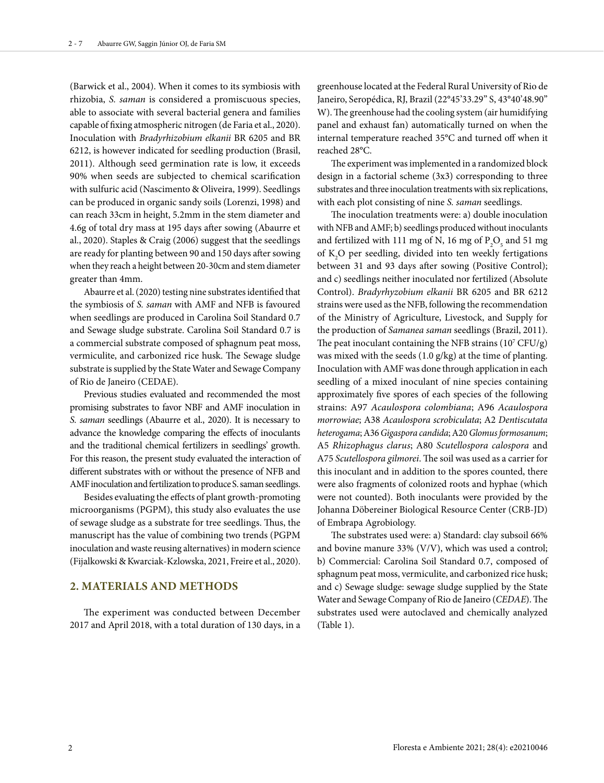(Barwick et al., 2004). When it comes to its symbiosis with rhizobia, *S. saman* is considered a promiscuous species, able to associate with several bacterial genera and families capable of fixing atmospheric nitrogen (de Faria et al., 2020). Inoculation with *Bradyrhizobium elkanii* BR 6205 and BR 6212, is however indicated for seedling production (Brasil, 2011). Although seed germination rate is low, it exceeds 90% when seeds are subjected to chemical scarification with sulfuric acid (Nascimento & Oliveira, 1999). Seedlings can be produced in organic sandy soils (Lorenzi, 1998) and can reach 33cm in height, 5.2mm in the stem diameter and 4.6g of total dry mass at 195 days after sowing (Abaurre et al., 2020). Staples & Craig (2006) suggest that the seedlings are ready for planting between 90 and 150 days after sowing when they reach a height between 20-30cm and stem diameter greater than 4mm.

Abaurre et al. (2020) testing nine substrates identified that the symbiosis of *S. saman* with AMF and NFB is favoured when seedlings are produced in Carolina Soil Standard 0.7 and Sewage sludge substrate. Carolina Soil Standard 0.7 is a commercial substrate composed of sphagnum peat moss, vermiculite, and carbonized rice husk. The Sewage sludge substrate is supplied by the State Water and Sewage Company of Rio de Janeiro (CEDAE).

Previous studies evaluated and recommended the most promising substrates to favor NBF and AMF inoculation in *S. saman* seedlings (Abaurre et al., 2020). It is necessary to advance the knowledge comparing the effects of inoculants and the traditional chemical fertilizers in seedlings' growth. For this reason, the present study evaluated the interaction of different substrates with or without the presence of NFB and AMF inoculation and fertilization to produce S. saman seedlings.

Besides evaluating the effects of plant growth-promoting microorganisms (PGPM), this study also evaluates the use of sewage sludge as a substrate for tree seedlings. Thus, the manuscript has the value of combining two trends (PGPM inoculation and waste reusing alternatives) in modern science (Fijalkowski & Kwarciak-Kzlowska, 2021, Freire et al., 2020).

## **2. MATERIALS AND METHODS**

The experiment was conducted between December 2017 and April 2018, with a total duration of 130 days, in a

greenhouse located at the Federal Rural University of Rio de Janeiro, Seropédica, RJ, Brazil (22°45'33.29" S, 43°40'48.90" W). The greenhouse had the cooling system (air humidifying panel and exhaust fan) automatically turned on when the internal temperature reached 35°C and turned off when it reached 28°C.

The experiment was implemented in a randomized block design in a factorial scheme (3x3) corresponding to three substrates and three inoculation treatments with six replications, with each plot consisting of nine *S. saman* seedlings.

The inoculation treatments were: a) double inoculation with NFB and AMF; b) seedlings produced without inoculants and fertilized with 111 mg of N, 16 mg of  $P_2O_5$  and 51 mg of  $K_2O$  per seedling, divided into ten weekly fertigations between 31 and 93 days after sowing (Positive Control); and c) seedlings neither inoculated nor fertilized (Absolute Control). *Bradyrhyzobium elkanii* BR 6205 and BR 6212 strains were used as the NFB, following the recommendation of the Ministry of Agriculture, Livestock, and Supply for the production of *Samanea saman* seedlings (Brazil, 2011). The peat inoculant containing the NFB strains  $(10^7 \, \text{CFU/g})$ was mixed with the seeds (1.0 g/kg) at the time of planting. Inoculation with AMF was done through application in each seedling of a mixed inoculant of nine species containing approximately five spores of each species of the following strains: A97 *Acaulospora colombiana*; A96 *Acaulospora morrowiae*; A38 *Acaulospora scrobiculata*; A2 *Dentiscutata heterogama*; A36 *Gigaspora candida*; A20 *Glomus formosanum*; A5 *Rhizophagus clarus*; A80 *Scutellospora calospora* and A75 *Scutellospora gilmorei*. The soil was used as a carrier for this inoculant and in addition to the spores counted, there were also fragments of colonized roots and hyphae (which were not counted). Both inoculants were provided by the Johanna Döbereiner Biological Resource Center (CRB-JD) of Embrapa Agrobiology.

The substrates used were: a) Standard: clay subsoil 66% and bovine manure 33% (V/V), which was used a control; b) Commercial: Carolina Soil Standard 0.7, composed of sphagnum peat moss, vermiculite, and carbonized rice husk; and c) Sewage sludge: sewage sludge supplied by the State Water and Sewage Company of Rio de Janeiro (*CEDAE*). The substrates used were autoclaved and chemically analyzed (Table 1).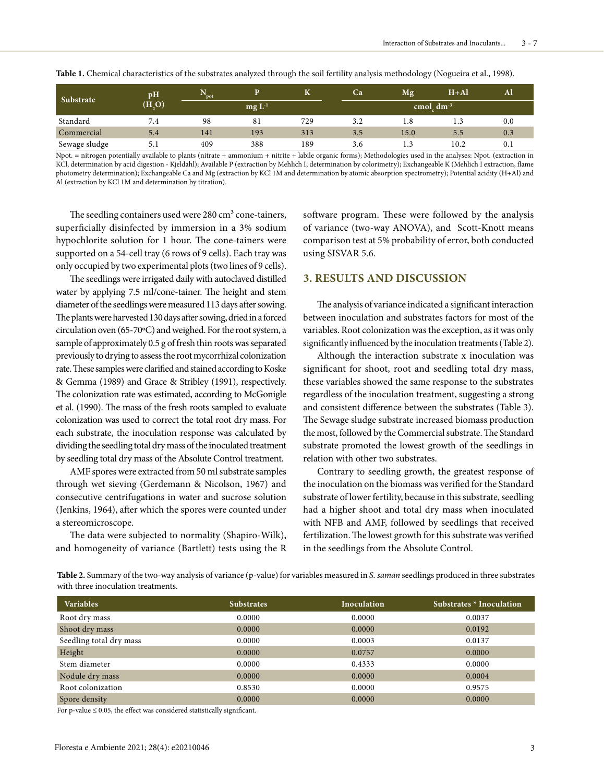| Substrate     | pH<br>(H, O) | pot |            |     | Ca  | Mg             | $H+A1$ |     |
|---------------|--------------|-----|------------|-----|-----|----------------|--------|-----|
|               |              |     | $mgL^{-1}$ |     |     | cmol $dm^{-3}$ |        |     |
| Standard      | 7.4          | 98  | 81         | 729 | 3.2 | 1.8            | 1.3    | 0.0 |
| Commercial    | 5.4          | 141 | 193        | 313 | 3.5 | 15.0           | 5.5    | 0.3 |
| Sewage sludge | 5.1          | 409 | 388        | 189 | 3.6 | 1.3            | 10.2   | 0.1 |

**Table 1.** Chemical characteristics of the substrates analyzed through the soil fertility analysis methodology (Nogueira et al., 1998).

Npot. = nitrogen potentially available to plants (nitrate + ammonium + nitrite + labile organic forms); Methodologies used in the analyses: Npot. (extraction in KCl, determination by acid digestion - Kjeldahl); Available P (extraction by Mehlich I, determination by colorimetry); Exchangeable K (Mehlich I extraction, flame photometry determination); Exchangeable Ca and Mg (extraction by KCl 1M and determination by atomic absorption spectrometry); Potential acidity (H+Al) and Al (extraction by KCl 1M and determination by titration).

The seedling containers used were  $280 \text{ cm}^3$  cone-tainers, superficially disinfected by immersion in a 3% sodium hypochlorite solution for 1 hour. The cone-tainers were supported on a 54-cell tray (6 rows of 9 cells). Each tray was only occupied by two experimental plots (two lines of 9 cells).

The seedlings were irrigated daily with autoclaved distilled water by applying 7.5 ml/cone-tainer. The height and stem diameter of the seedlings were measured 113 days after sowing. The plants were harvested 130 days after sowing, dried in a forced circulation oven (65-70ºC) and weighed. For the root system, a sample of approximately 0.5 g of fresh thin roots was separated previously to drying to assess the root mycorrhizal colonization rate. These samples were clarified and stained according to Koske & Gemma (1989) and Grace & Stribley (1991), respectively. The colonization rate was estimated, according to McGonigle et al. (1990). The mass of the fresh roots sampled to evaluate colonization was used to correct the total root dry mass. For each substrate, the inoculation response was calculated by dividing the seedling total dry mass of the inoculated treatment by seedling total dry mass of the Absolute Control treatment.

AMF spores were extracted from 50 ml substrate samples through wet sieving (Gerdemann & Nicolson, 1967) and consecutive centrifugations in water and sucrose solution (Jenkins, 1964), after which the spores were counted under a stereomicroscope.

The data were subjected to normality (Shapiro-Wilk), and homogeneity of variance (Bartlett) tests using the R software program. These were followed by the analysis of variance (two-way ANOVA), and Scott-Knott means comparison test at 5% probability of error, both conducted using SISVAR 5.6.

## **3. RESULTS AND DISCUSSION**

The analysis of variance indicated a significant interaction between inoculation and substrates factors for most of the variables. Root colonization was the exception, as it was only significantly influenced by the inoculation treatments (Table 2).

Although the interaction substrate x inoculation was significant for shoot, root and seedling total dry mass, these variables showed the same response to the substrates regardless of the inoculation treatment, suggesting a strong and consistent difference between the substrates (Table 3). The Sewage sludge substrate increased biomass production the most, followed by the Commercial substrate. The Standard substrate promoted the lowest growth of the seedlings in relation with other two substrates.

Contrary to seedling growth, the greatest response of the inoculation on the biomass was verified for the Standard substrate of lower fertility, because in this substrate, seedling had a higher shoot and total dry mass when inoculated with NFB and AMF, followed by seedlings that received fertilization. The lowest growth for this substrate was verified in the seedlings from the Absolute Control.

**Table 2.** Summary of the two-way analysis of variance (p-value) for variables measured in *S. saman* seedlings produced in three substrates with three inoculation treatments.

| <b>Variables</b>        | <b>Substrates</b> | Inoculation | Substrates * Inoculation |
|-------------------------|-------------------|-------------|--------------------------|
| Root dry mass           | 0.0000            | 0.0000      | 0.0037                   |
| Shoot dry mass          | 0.0000            | 0.0000      | 0.0192                   |
| Seedling total dry mass | 0.0000            | 0.0003      | 0.0137                   |
| Height                  | 0.0000            | 0.0757      | 0.0000                   |
| Stem diameter           | 0.0000            | 0.4333      | 0.0000                   |
| Nodule dry mass         | 0.0000            | 0.0000      | 0.0004                   |
| Root colonization       | 0.8530            | 0.0000      | 0.9575                   |
| Spore density           | 0.0000            | 0.0000      | 0.0000                   |

For p-value  $\leq 0.05$ , the effect was considered statistically significant.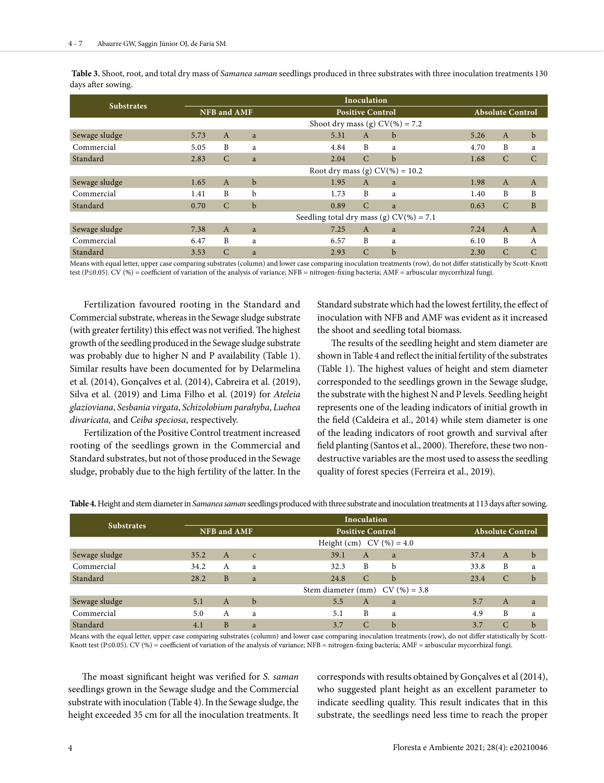|                   | Inoculation                        |                                   |                                            |                             |                         |                |                |  |  |
|-------------------|------------------------------------|-----------------------------------|--------------------------------------------|-----------------------------|-------------------------|----------------|----------------|--|--|
| <b>Substrates</b> | <b>NFB</b> and AMF                 |                                   |                                            | <b>Positive Control</b>     | <b>Absolute Control</b> |                |                |  |  |
|                   | Shoot dry mass (g) $CV(\% ) = 7.2$ |                                   |                                            |                             |                         |                |                |  |  |
| Sewage sludge     | 5.73                               | $\mathbf{A}$                      | a                                          | 5.31<br>$\overline{A}$<br>b | 5.26                    | $\overline{A}$ | $\mathbf b$    |  |  |
| Commercial        | 5.05                               | B                                 | a                                          | B<br>4.84<br>a              | 4.70                    | B              | a              |  |  |
| Standard          | 2.83                               | $\mathcal{C}$                     | a                                          | $\mathcal{C}$<br>2.04<br>b  | 1.68                    | $\mathcal{C}$  | $\mathcal{C}$  |  |  |
|                   |                                    | Root dry mass (g) $CV(\%) = 10.2$ |                                            |                             |                         |                |                |  |  |
| Sewage sludge     | 1.65                               | $\overline{A}$                    | $\mathbf b$                                | 1.95<br>$\mathbf{A}$<br>a   | 1.98                    | $\overline{A}$ | $\mathbf{A}$   |  |  |
| Commercial        | 1.41                               | B                                 | b                                          | B<br>1.73<br>a              | 1.40                    | B              | B              |  |  |
| Standard          | 0.70                               | $\mathcal{C}$                     | $\mathbf b$                                | $\mathcal{C}$<br>0.89<br>a  | 0.63                    | $\mathcal{C}$  | B              |  |  |
|                   |                                    |                                   | Seedling total dry mass (g) $CV(% ) = 7.1$ |                             |                         |                |                |  |  |
| Sewage sludge     | 7.38                               | $\overline{A}$                    | a                                          | $\overline{A}$<br>7.25<br>a | 7.24                    | $\mathbf{A}$   | $\overline{A}$ |  |  |
| Commercial        | 6.47                               | B                                 | a                                          | B<br>6.57<br>a              | 6.10                    | B              | $\mathsf{A}$   |  |  |
| Standard          | 3.53                               | C                                 | a                                          | C<br>b<br>2.93              | 2.30                    | $\mathsf{C}$   | $\mathcal{C}$  |  |  |

 **Table 3.** Shoot, root, and total dry mass of *Samanea saman* seedlings produced in three substrates with three inoculation treatments 130 days after sowing.

Means with equal letter, upper case comparing substrates (column) and lower case comparing inoculation treatments (row), do not differ statistically by Scott-Knott test (P≤0.05). CV (%) = coefficient of variation of the analysis of variance; NFB = nitrogen-fixing bacteria; AMF = arbuscular mycorrhizal fungi.

Fertilization favoured rooting in the Standard and Commercial substrate, whereas in the Sewage sludge substrate (with greater fertility) this effect was not verified. The highest growth of the seedling produced in the Sewage sludge substrate was probably due to higher N and P availability (Table 1). Similar results have been documented for by Delarmelina et al. (2014), Gonçalves et al. (2014), Cabreira et al. (2019), Silva et al. (2019) and Lima Filho et al. (2019) for *Ateleia glazioviana*, *Sesbania virgata*, *Schizolobium parahyba*, *Luehea divaricata,* and *Ceiba speciosa*, respectively.

Fertilization of the Positive Control treatment increased rooting of the seedlings grown in the Commercial and Standard substrates, but not of those produced in the Sewage sludge, probably due to the high fertility of the latter. In the

Standard substrate which had the lowest fertility, the effect of inoculation with NFB and AMF was evident as it increased the shoot and seedling total biomass.

The results of the seedling height and stem diameter are shown in Table 4 and reflect the initial fertility of the substrates (Table 1). The highest values of height and stem diameter corresponded to the seedlings grown in the Sewage sludge, the substrate with the highest N and P levels. Seedling height represents one of the leading indicators of initial growth in the field (Caldeira et al., 2014) while stem diameter is one of the leading indicators of root growth and survival after field planting (Santos et al., 2000). Therefore, these two nondestructive variables are the most used to assess the seedling quality of forest species (Ferreira et al., 2019).

|                   | Inoculation                      |   |              |                            |                         |               |             |  |  |
|-------------------|----------------------------------|---|--------------|----------------------------|-------------------------|---------------|-------------|--|--|
| <b>Substrates</b> | <b>NFB</b> and AMF               |   |              | <b>Positive Control</b>    | <b>Absolute Control</b> |               |             |  |  |
|                   |                                  |   |              | Height (cm) $CV(%) = 4.0$  |                         |               |             |  |  |
| Sewage sludge     | 35.2                             | A | $\mathsf{C}$ | 39.1<br>$\mathbf{A}$<br>a  | 37.4                    | $\mathbf{A}$  | $\mathbf b$ |  |  |
| Commercial        | 34.2                             | А | a            | B<br>32.3<br>b             | 33.8                    | B             | a           |  |  |
| Standard          | 28.2                             | B | a            | $\mathcal{C}$<br>24.8<br>b | 23.4                    | $\mathcal{C}$ | $\mathbf b$ |  |  |
|                   | Stem diameter (mm) $CV(%) = 3.8$ |   |              |                            |                         |               |             |  |  |
| Sewage sludge     | 5.1                              | A | b            | 5.5<br>$\mathbf{A}$<br>a   | 5.7                     | $\mathbf{A}$  | a           |  |  |
| Commercial        | 5.0                              | A | a            | B<br>5.1<br>a              | 4.9                     | B             | a           |  |  |
| Standard          | 4.1                              | B | a            | C<br>3.7<br>b              | 3.7                     | $\mathcal{C}$ | $\mathbf b$ |  |  |

**Table 4.** Height and stem diameter in *Samanea saman* seedlings produced with three substrate and inoculation treatments at 113 days after sowing.

Means with the equal letter, upper case comparing substrates (column) and lower case comparing inoculation treatments (row), do not differ statistically by Scott-Knott test (P≤0.05). CV (%) = coefficient of variation of the analysis of variance; NFB = nitrogen-fixing bacteria; AMF = arbuscular mycorrhizal fungi.

The moast significant height was verified for *S. saman* seedlings grown in the Sewage sludge and the Commercial substrate with inoculation (Table 4). In the Sewage sludge, the height exceeded 35 cm for all the inoculation treatments. It corresponds with results obtained by Gonçalves et al (2014), who suggested plant height as an excellent parameter to indicate seedling quality. This result indicates that in this substrate, the seedlings need less time to reach the proper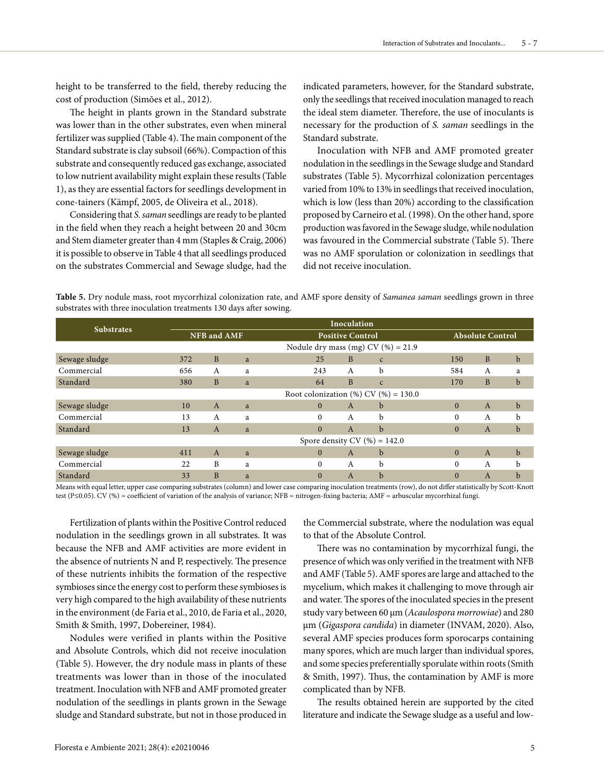height to be transferred to the field, thereby reducing the cost of production (Simões et al., 2012).

The height in plants grown in the Standard substrate was lower than in the other substrates, even when mineral fertilizer was supplied (Table 4). The main component of the Standard substrate is clay subsoil (66%). Compaction of this substrate and consequently reduced gas exchange, associated to low nutrient availability might explain these results (Table 1), as they are essential factors for seedlings development in cone-tainers (Kämpf, 2005, de Oliveira et al., 2018).

Considering that *S. saman* seedlings are ready to be planted in the field when they reach a height between 20 and 30cm and Stem diameter greater than 4 mm (Staples & Craig, 2006) it is possible to observe in Table 4 that all seedlings produced on the substrates Commercial and Sewage sludge, had the indicated parameters, however, for the Standard substrate, only the seedlings that received inoculation managed to reach the ideal stem diameter. Therefore, the use of inoculants is necessary for the production of *S. saman* seedlings in the Standard substrate.

Inoculation with NFB and AMF promoted greater nodulation in the seedlings in the Sewage sludge and Standard substrates (Table 5). Mycorrhizal colonization percentages varied from 10% to 13% in seedlings that received inoculation, which is low (less than 20%) according to the classification proposed by Carneiro et al. (1998). On the other hand, spore production was favored in the Sewage sludge, while nodulation was favoured in the Commercial substrate (Table 5). There was no AMF sporulation or colonization in seedlings that did not receive inoculation.

**Table 5.** Dry nodule mass, root mycorrhizal colonization rate, and AMF spore density of *Samanea saman* seedlings grown in three substrates with three inoculation treatments 130 days after sowing.

| <b>Substrates</b> | Inoculation                                |              |   |                                       |              |              |          |                         |             |  |
|-------------------|--------------------------------------------|--------------|---|---------------------------------------|--------------|--------------|----------|-------------------------|-------------|--|
|                   | <b>NFB</b> and AMF                         |              |   | <b>Positive Control</b>               |              |              |          | <b>Absolute Control</b> |             |  |
|                   |                                            |              |   | Nodule dry mass (mg) CV $(\%) = 21.9$ |              |              |          |                         |             |  |
| Sewage sludge     | 372                                        | B            | a | 25                                    | B            | $\mathsf{C}$ | 150      | B                       | $\mathbf b$ |  |
| Commercial        | 656                                        | A            | a | 243                                   | A            | b            | 584      | A                       | a           |  |
| Standard          | 380                                        | B            | a | 64                                    | B            | $\mathsf{C}$ | 170      | B                       | $\mathbf b$ |  |
|                   | Root colonization $(\%)$ CV $(\%)$ = 130.0 |              |   |                                       |              |              |          |                         |             |  |
| Sewage sludge     | 10                                         | $\mathbf{A}$ | a | $\Omega$                              | $\mathbf{A}$ | b            | $\Omega$ | $\mathbf{A}$            | $\mathbf b$ |  |
| Commercial        | 13                                         | A            | a | $\Omega$                              | A            | b            | $\Omega$ | A                       | b           |  |
| Standard          | 13                                         | $\mathbf{A}$ | a | $\Omega$                              | $\mathbf{A}$ | $\mathbf b$  | $\Omega$ | $\mathbf{A}$            | b           |  |
|                   | Spore density CV $(\%)=142.0$              |              |   |                                       |              |              |          |                         |             |  |
| Sewage sludge     | 411                                        | $\mathbf{A}$ | a | $\Omega$                              | $\mathbf{A}$ | $\mathbf b$  | $\Omega$ | $\mathbf{A}$            | $\mathbf b$ |  |
| Commercial        | 22                                         | B            | a | $\Omega$                              | A            | b            | $\Omega$ | A                       | b           |  |
| Standard          | 33                                         | B            | a | $\Omega$                              | $\mathbf{A}$ | b            | $\Omega$ | $\mathbf{A}$            | b           |  |

Means with equal letter, upper case comparing substrates (column) and lower case comparing inoculation treatments (row), do not differ statistically by Scott-Knott test (P≤0.05). CV (%) = coefficient of variation of the analysis of variance; NFB = nitrogen-fixing bacteria; AMF = arbuscular mycorrhizal fungi.

Fertilization of plants within the Positive Control reduced nodulation in the seedlings grown in all substrates. It was because the NFB and AMF activities are more evident in the absence of nutrients N and P, respectively. The presence of these nutrients inhibits the formation of the respective symbioses since the energy cost to perform these symbioses is very high compared to the high availability of these nutrients in the environment (de Faria et al., 2010, de Faria et al., 2020, Smith & Smith, 1997, Dobereiner, 1984).

Nodules were verified in plants within the Positive and Absolute Controls, which did not receive inoculation (Table 5). However, the dry nodule mass in plants of these treatments was lower than in those of the inoculated treatment. Inoculation with NFB and AMF promoted greater nodulation of the seedlings in plants grown in the Sewage sludge and Standard substrate, but not in those produced in the Commercial substrate, where the nodulation was equal to that of the Absolute Control.

There was no contamination by mycorrhizal fungi, the presence of which was only verified in the treatment with NFB and AMF (Table 5). AMF spores are large and attached to the mycelium, which makes it challenging to move through air and water. The spores of the inoculated species in the present study vary between 60 µm (*Acaulospora morrowiae*) and 280 µm (*Gigaspora candida*) in diameter (INVAM, 2020). Also, several AMF species produces form sporocarps containing many spores, which are much larger than individual spores, and some species preferentially sporulate within roots (Smith & Smith, 1997). Thus, the contamination by AMF is more complicated than by NFB.

The results obtained herein are supported by the cited literature and indicate the Sewage sludge as a useful and low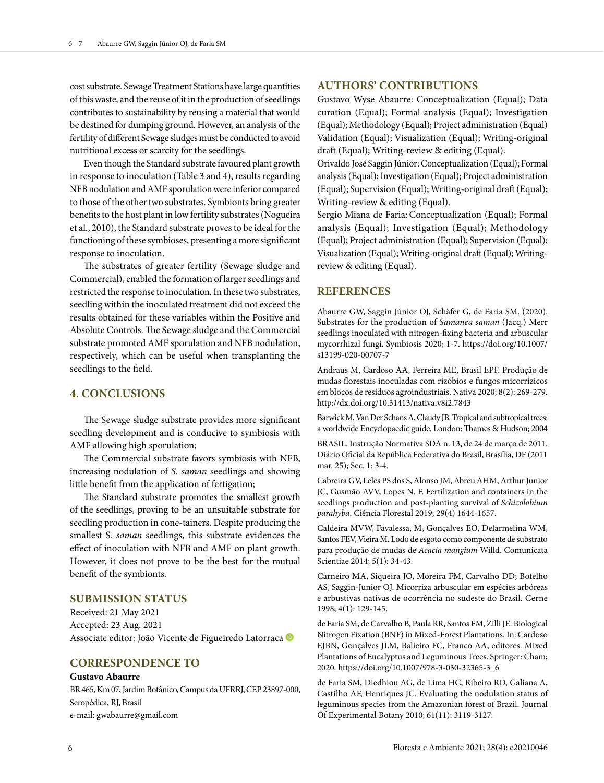cost substrate. Sewage Treatment Stations have large quantities of this waste, and the reuse of it in the production of seedlings contributes to sustainability by reusing a material that would be destined for dumping ground. However, an analysis of the fertility of different Sewage sludges must be conducted to avoid nutritional excess or scarcity for the seedlings.

Even though the Standard substrate favoured plant growth in response to inoculation (Table 3 and 4), results regarding NFB nodulation and AMF sporulation were inferior compared to those of the other two substrates. Symbionts bring greater benefits to the host plant in low fertility substrates (Nogueira et al., 2010), the Standard substrate proves to be ideal for the functioning of these symbioses, presenting a more significant response to inoculation.

The substrates of greater fertility (Sewage sludge and Commercial), enabled the formation of larger seedlings and restricted the response to inoculation. In these two substrates, seedling within the inoculated treatment did not exceed the results obtained for these variables within the Positive and Absolute Controls. The Sewage sludge and the Commercial substrate promoted AMF sporulation and NFB nodulation, respectively, which can be useful when transplanting the seedlings to the field.

## **4. CONCLUSIONS**

The Sewage sludge substrate provides more significant seedling development and is conducive to symbiosis with AMF allowing high sporulation;

The Commercial substrate favors symbiosis with NFB, increasing nodulation of *S. saman* seedlings and showing little benefit from the application of fertigation;

The Standard substrate promotes the smallest growth of the seedlings, proving to be an unsuitable substrate for seedling production in cone-tainers. Despite producing the smallest S*. saman* seedlings, this substrate evidences the effect of inoculation with NFB and AMF on plant growth. However, it does not prove to be the best for the mutual benefit of the symbionts.

## **SUBMISSION STATUS**

Received: 21 May 2021 Accepted: 23 Aug. 2021 Associate editor: João Vicente de Figueiredo Latorraca <sup>D</sup>

## **CORRESPONDENCE TO**

#### **Gustavo Abaurre**

BR 465, Km 07, Jardim Botânico, Campus da UFRRJ, CEP 23897-000, Seropédica, RJ, Brasil e-mail: gwabaurre@gmail.com

## **AUTHORS' CONTRIBUTIONS**

Gustavo Wyse Abaurre: Conceptualization (Equal); Data curation (Equal); Formal analysis (Equal); Investigation (Equal); Methodology (Equal); Project administration (Equal) Validation (Equal); Visualization (Equal); Writing-original draft (Equal); Writing-review & editing (Equal).

Orivaldo José Saggin Júnior: Conceptualization (Equal); Formal analysis (Equal); Investigation (Equal); Project administration (Equal); Supervision (Equal); Writing-original draft (Equal); Writing-review & editing (Equal).

Sergio Miana de Faria: Conceptualization (Equal); Formal analysis (Equal); Investigation (Equal); Methodology (Equal); Project administration (Equal); Supervision (Equal); Visualization (Equal); Writing-original draft (Equal); Writingreview & editing (Equal).

## **REFERENCES**

Abaurre GW, Saggin Júnior OJ, Schäfer G, de Faria SM. (2020). Substrates for the production of *Samanea saman* (Jacq.) Merr seedlings inoculated with nitrogen-fixing bacteria and arbuscular mycorrhizal fungi. Symbiosis 2020; 1-7. https://doi.org/10.1007/ s13199-020-00707-7

Andraus M, Cardoso AA, Ferreira ME, Brasil EPF. Produção de mudas florestais inoculadas com rizóbios e fungos micorrízicos em blocos de resíduos agroindustriais. Nativa 2020; 8(2): 269-279. http://dx.doi.org/10.31413/nativa.v8i2.7843

Barwick M, Van Der Schans A, Claudy JB. Tropical and subtropical trees: a worldwide Encyclopaedic guide. London: Thames & Hudson; 2004

BRASIL. Instrução Normativa SDA n. 13, de 24 de março de 2011. Diário Oficial da República Federativa do Brasil, Brasília, DF (2011 mar. 25); Sec. 1: 3-4.

Cabreira GV, Leles PS dos S, Alonso JM, Abreu AHM, Arthur Junior JC, Gusmão AVV, Lopes N. F. Fertilization and containers in the seedlings production and post-planting survival of *Schizolobium parahyba*. Ciência Florestal 2019; 29(4) 1644-1657.

Caldeira MVW, Favalessa, M, Gonçalves EO, Delarmelina WM, Santos FEV, Vieira M. Lodo de esgoto como componente de substrato para produção de mudas de *Acacia mangium* Willd. Comunicata Scientiae 2014; 5(1): 34-43.

Carneiro MA, Siqueira JO, Moreira FM, Carvalho DD; Botelho AS, Saggin-Junior OJ. Micorriza arbuscular em espécies arbóreas e arbustivas nativas de ocorrência no sudeste do Brasil. Cerne 1998; 4(1): 129-145.

de Faria SM, de Carvalho B, Paula RR, Santos FM, Zilli JE. Biological Nitrogen Fixation (BNF) in Mixed-Forest Plantations. In: Cardoso EJBN, Gonçalves JLM, Balieiro FC, Franco AA, editores. Mixed Plantations of Eucalyptus and Leguminous Trees. Springer: Cham; 2020. https://doi.org/10.1007/978-3-030-32365-3\_6

de Faria SM, Diedhiou AG, de Lima HC, Ribeiro RD, Galiana A, Castilho AF, Henriques JC. Evaluating the nodulation status of leguminous species from the Amazonian forest of Brazil. Journal Of Experimental Botany 2010; 61(11): 3119-3127.